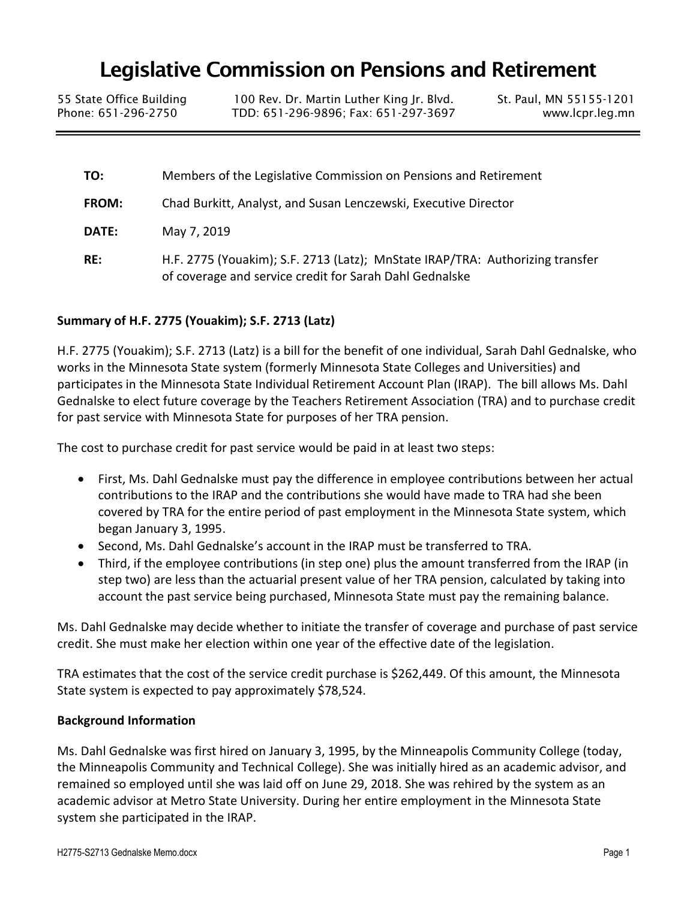# Legislative Commission on Pensions and Retirement

55 State Office Building 100 Rev. Dr. Martin Luther King Jr. Blvd. St. Paul, MN 55155-1201<br>Phone: 651-296-2750 TDD: 651-296-9896; Fax: 651-297-3697 www.lcpr.leq.mn TDD: 651-296-9896; Fax: 651-297-3697 www.lcpr.leg.mn

**TO:** Members of the Legislative Commission on Pensions and Retirement **FROM:** Chad Burkitt, Analyst, and Susan Lenczewski, Executive Director **DATE:** May 7, 2019 **RE:** H.F. 2775 (Youakim); S.F. 2713 (Latz); MnState IRAP/TRA: Authorizing transfer of coverage and service credit for Sarah Dahl Gednalske

### **Summary of H.F. 2775 (Youakim); S.F. 2713 (Latz)**

H.F. 2775 (Youakim); S.F. 2713 (Latz) is a bill for the benefit of one individual, Sarah Dahl Gednalske, who works in the Minnesota State system (formerly Minnesota State Colleges and Universities) and participates in the Minnesota State Individual Retirement Account Plan (IRAP). The bill allows Ms. Dahl Gednalske to elect future coverage by the Teachers Retirement Association (TRA) and to purchase credit for past service with Minnesota State for purposes of her TRA pension.

The cost to purchase credit for past service would be paid in at least two steps:

- First, Ms. Dahl Gednalske must pay the difference in employee contributions between her actual contributions to the IRAP and the contributions she would have made to TRA had she been covered by TRA for the entire period of past employment in the Minnesota State system, which began January 3, 1995.
- Second, Ms. Dahl Gednalske's account in the IRAP must be transferred to TRA.
- Third, if the employee contributions (in step one) plus the amount transferred from the IRAP (in step two) are less than the actuarial present value of her TRA pension, calculated by taking into account the past service being purchased, Minnesota State must pay the remaining balance.

Ms. Dahl Gednalske may decide whether to initiate the transfer of coverage and purchase of past service credit. She must make her election within one year of the effective date of the legislation.

TRA estimates that the cost of the service credit purchase is \$262,449. Of this amount, the Minnesota State system is expected to pay approximately \$78,524.

#### **Background Information**

Ms. Dahl Gednalske was first hired on January 3, 1995, by the Minneapolis Community College (today, the Minneapolis Community and Technical College). She was initially hired as an academic advisor, and remained so employed until she was laid off on June 29, 2018. She was rehired by the system as an academic advisor at Metro State University. During her entire employment in the Minnesota State system she participated in the IRAP.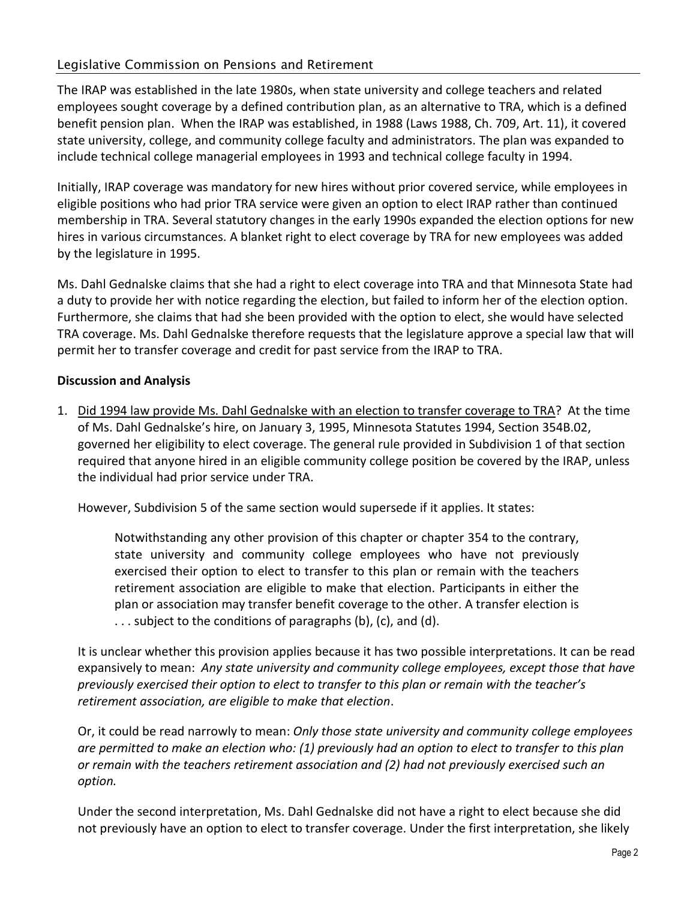## Legislative Commission on Pensions and Retirement

The IRAP was established in the late 1980s, when state university and college teachers and related employees sought coverage by a defined contribution plan, as an alternative to TRA, which is a defined benefit pension plan. When the IRAP was established, in 1988 (Laws 1988, Ch. 709, Art. 11), it covered state university, college, and community college faculty and administrators. The plan was expanded to include technical college managerial employees in 1993 and technical college faculty in 1994.

Initially, IRAP coverage was mandatory for new hires without prior covered service, while employees in eligible positions who had prior TRA service were given an option to elect IRAP rather than continued membership in TRA. Several statutory changes in the early 1990s expanded the election options for new hires in various circumstances. A blanket right to elect coverage by TRA for new employees was added by the legislature in 1995.

Ms. Dahl Gednalske claims that she had a right to elect coverage into TRA and that Minnesota State had a duty to provide her with notice regarding the election, but failed to inform her of the election option. Furthermore, she claims that had she been provided with the option to elect, she would have selected TRA coverage. Ms. Dahl Gednalske therefore requests that the legislature approve a special law that will permit her to transfer coverage and credit for past service from the IRAP to TRA.

#### **Discussion and Analysis**

1. Did 1994 law provide Ms. Dahl Gednalske with an election to transfer coverage to TRA? At the time of Ms. Dahl Gednalske's hire, on January 3, 1995, Minnesota Statutes 1994, Section 354B.02, governed her eligibility to elect coverage. The general rule provided in Subdivision 1 of that section required that anyone hired in an eligible community college position be covered by the IRAP, unless the individual had prior service under TRA.

However, Subdivision 5 of the same section would supersede if it applies. It states:

Notwithstanding any other provision of this chapter or chapter 354 to the contrary, state university and community college employees who have not previously exercised their option to elect to transfer to this plan or remain with the teachers retirement association are eligible to make that election. Participants in either the plan or association may transfer benefit coverage to the other. A transfer election is . . . subject to the conditions of paragraphs (b), (c), and (d).

It is unclear whether this provision applies because it has two possible interpretations. It can be read expansively to mean: *Any state university and community college employees, except those that have previously exercised their option to elect to transfer to this plan or remain with the teacher's retirement association, are eligible to make that election*.

Or, it could be read narrowly to mean: *Only those state university and community college employees are permitted to make an election who: (1) previously had an option to elect to transfer to this plan or remain with the teachers retirement association and (2) had not previously exercised such an option.* 

Under the second interpretation, Ms. Dahl Gednalske did not have a right to elect because she did not previously have an option to elect to transfer coverage. Under the first interpretation, she likely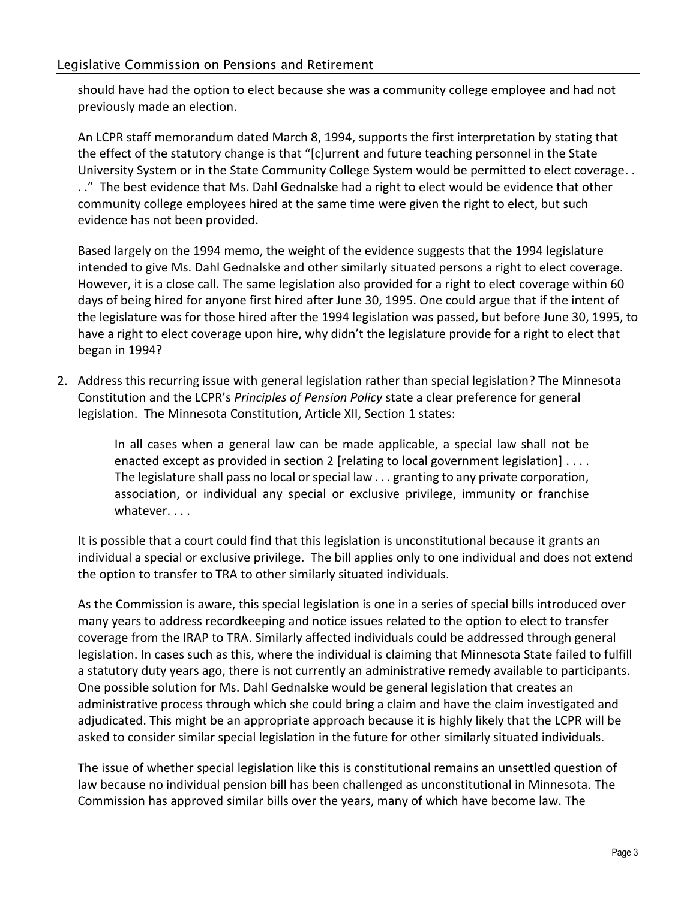should have had the option to elect because she was a community college employee and had not previously made an election.

An LCPR staff memorandum dated March 8, 1994, supports the first interpretation by stating that the effect of the statutory change is that "[c]urrent and future teaching personnel in the State University System or in the State Community College System would be permitted to elect coverage. . . ." The best evidence that Ms. Dahl Gednalske had a right to elect would be evidence that other community college employees hired at the same time were given the right to elect, but such evidence has not been provided.

Based largely on the 1994 memo, the weight of the evidence suggests that the 1994 legislature intended to give Ms. Dahl Gednalske and other similarly situated persons a right to elect coverage. However, it is a close call. The same legislation also provided for a right to elect coverage within 60 days of being hired for anyone first hired after June 30, 1995. One could argue that if the intent of the legislature was for those hired after the 1994 legislation was passed, but before June 30, 1995, to have a right to elect coverage upon hire, why didn't the legislature provide for a right to elect that began in 1994?

2. Address this recurring issue with general legislation rather than special legislation? The Minnesota Constitution and the LCPR's *Principles of Pension Policy* state a clear preference for general legislation. The Minnesota Constitution, Article XII, Section 1 states:

> In all cases when a general law can be made applicable, a special law shall not be enacted except as provided in section 2 [relating to local government legislation] . . . . The legislature shall pass no local or special law . . . granting to any private corporation, association, or individual any special or exclusive privilege, immunity or franchise whatever. . . .

It is possible that a court could find that this legislation is unconstitutional because it grants an individual a special or exclusive privilege. The bill applies only to one individual and does not extend the option to transfer to TRA to other similarly situated individuals.

As the Commission is aware, this special legislation is one in a series of special bills introduced over many years to address recordkeeping and notice issues related to the option to elect to transfer coverage from the IRAP to TRA. Similarly affected individuals could be addressed through general legislation. In cases such as this, where the individual is claiming that Minnesota State failed to fulfill a statutory duty years ago, there is not currently an administrative remedy available to participants. One possible solution for Ms. Dahl Gednalske would be general legislation that creates an administrative process through which she could bring a claim and have the claim investigated and adjudicated. This might be an appropriate approach because it is highly likely that the LCPR will be asked to consider similar special legislation in the future for other similarly situated individuals.

The issue of whether special legislation like this is constitutional remains an unsettled question of law because no individual pension bill has been challenged as unconstitutional in Minnesota. The Commission has approved similar bills over the years, many of which have become law. The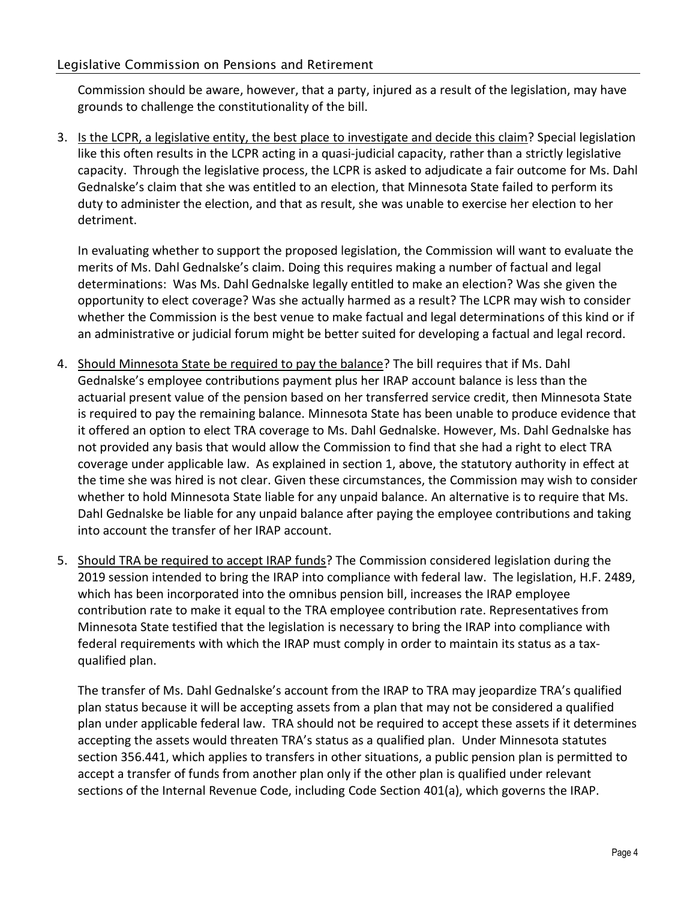Commission should be aware, however, that a party, injured as a result of the legislation, may have grounds to challenge the constitutionality of the bill.

3. Is the LCPR, a legislative entity, the best place to investigate and decide this claim? Special legislation like this often results in the LCPR acting in a quasi-judicial capacity, rather than a strictly legislative capacity. Through the legislative process, the LCPR is asked to adjudicate a fair outcome for Ms. Dahl Gednalske's claim that she was entitled to an election, that Minnesota State failed to perform its duty to administer the election, and that as result, she was unable to exercise her election to her detriment.

In evaluating whether to support the proposed legislation, the Commission will want to evaluate the merits of Ms. Dahl Gednalske's claim. Doing this requires making a number of factual and legal determinations: Was Ms. Dahl Gednalske legally entitled to make an election? Was she given the opportunity to elect coverage? Was she actually harmed as a result? The LCPR may wish to consider whether the Commission is the best venue to make factual and legal determinations of this kind or if an administrative or judicial forum might be better suited for developing a factual and legal record.

- 4. Should Minnesota State be required to pay the balance? The bill requires that if Ms. Dahl Gednalske's employee contributions payment plus her IRAP account balance is less than the actuarial present value of the pension based on her transferred service credit, then Minnesota State is required to pay the remaining balance. Minnesota State has been unable to produce evidence that it offered an option to elect TRA coverage to Ms. Dahl Gednalske. However, Ms. Dahl Gednalske has not provided any basis that would allow the Commission to find that she had a right to elect TRA coverage under applicable law. As explained in section 1, above, the statutory authority in effect at the time she was hired is not clear. Given these circumstances, the Commission may wish to consider whether to hold Minnesota State liable for any unpaid balance. An alternative is to require that Ms. Dahl Gednalske be liable for any unpaid balance after paying the employee contributions and taking into account the transfer of her IRAP account.
- 5. Should TRA be required to accept IRAP funds? The Commission considered legislation during the 2019 session intended to bring the IRAP into compliance with federal law. The legislation, H.F. 2489, which has been incorporated into the omnibus pension bill, increases the IRAP employee contribution rate to make it equal to the TRA employee contribution rate. Representatives from Minnesota State testified that the legislation is necessary to bring the IRAP into compliance with federal requirements with which the IRAP must comply in order to maintain its status as a taxqualified plan.

The transfer of Ms. Dahl Gednalske's account from the IRAP to TRA may jeopardize TRA's qualified plan status because it will be accepting assets from a plan that may not be considered a qualified plan under applicable federal law. TRA should not be required to accept these assets if it determines accepting the assets would threaten TRA's status as a qualified plan. Under Minnesota statutes section 356.441, which applies to transfers in other situations, a public pension plan is permitted to accept a transfer of funds from another plan only if the other plan is qualified under relevant sections of the Internal Revenue Code, including Code Section 401(a), which governs the IRAP.